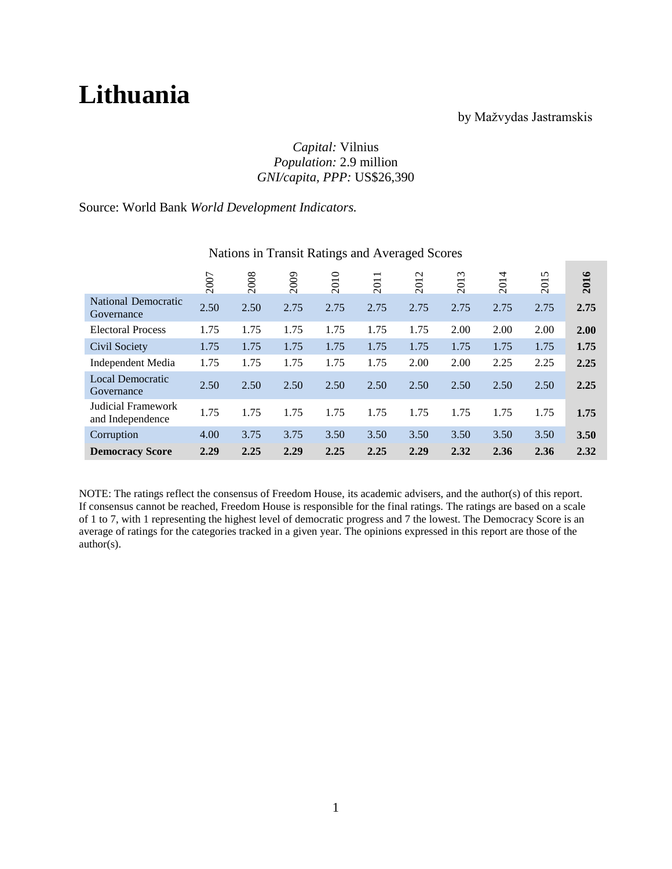# **Lithuania**

# by Mažvydas Jastramskis

# *Capital:* Vilnius *Population:* 2.9 million *GNI/capita, PPP:* US\$26,390

# Source: World Bank *World Development Indicators.*

|                                        | 2007 | 2008 | 2009 | 2010 | 2011 | 2012 | 2013 | 2014 | 2015 | 2016 |
|----------------------------------------|------|------|------|------|------|------|------|------|------|------|
| National Democratic<br>Governance      | 2.50 | 2.50 | 2.75 | 2.75 | 2.75 | 2.75 | 2.75 | 2.75 | 2.75 | 2.75 |
| <b>Electoral Process</b>               | 1.75 | 1.75 | 1.75 | 1.75 | 1.75 | 1.75 | 2.00 | 2.00 | 2.00 | 2.00 |
| Civil Society                          | 1.75 | 1.75 | 1.75 | 1.75 | 1.75 | 1.75 | 1.75 | 1.75 | 1.75 | 1.75 |
| Independent Media                      | 1.75 | 1.75 | 1.75 | 1.75 | 1.75 | 2.00 | 2.00 | 2.25 | 2.25 | 2.25 |
| <b>Local Democratic</b><br>Governance  | 2.50 | 2.50 | 2.50 | 2.50 | 2.50 | 2.50 | 2.50 | 2.50 | 2.50 | 2.25 |
| Judicial Framework<br>and Independence | 1.75 | 1.75 | 1.75 | 1.75 | 1.75 | 1.75 | 1.75 | 1.75 | 1.75 | 1.75 |
| Corruption                             | 4.00 | 3.75 | 3.75 | 3.50 | 3.50 | 3.50 | 3.50 | 3.50 | 3.50 | 3.50 |
| <b>Democracy Score</b>                 | 2.29 | 2.25 | 2.29 | 2.25 | 2.25 | 2.29 | 2.32 | 2.36 | 2.36 | 2.32 |

### Nations in Transit Ratings and Averaged Scores

NOTE: The ratings reflect the consensus of Freedom House, its academic advisers, and the author(s) of this report. If consensus cannot be reached, Freedom House is responsible for the final ratings. The ratings are based on a scale of 1 to 7, with 1 representing the highest level of democratic progress and 7 the lowest. The Democracy Score is an average of ratings for the categories tracked in a given year. The opinions expressed in this report are those of the author(s).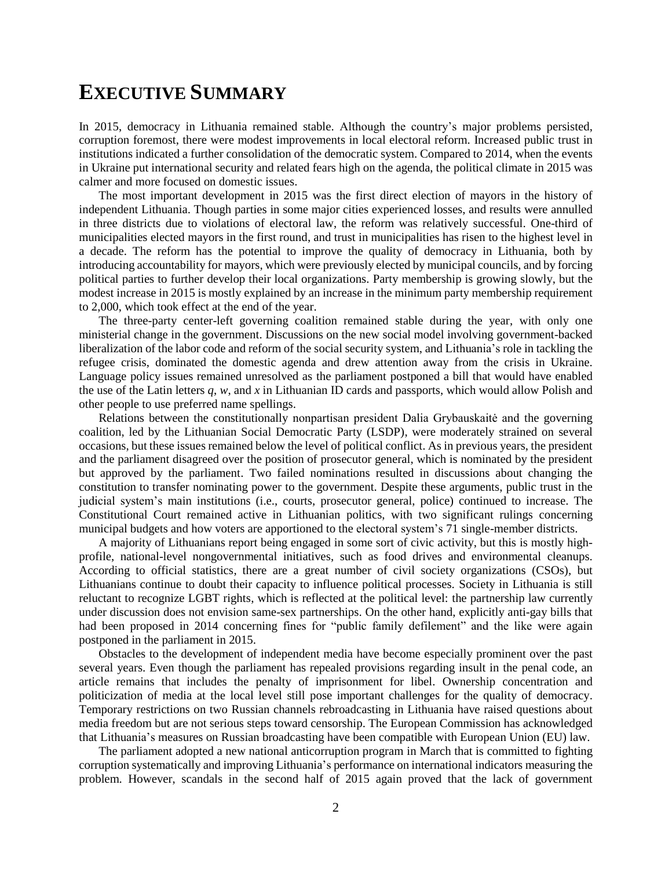# **EXECUTIVE SUMMARY**

In 2015, democracy in Lithuania remained stable. Although the country's major problems persisted, corruption foremost, there were modest improvements in local electoral reform. Increased public trust in institutions indicated a further consolidation of the democratic system. Compared to 2014, when the events in Ukraine put international security and related fears high on the agenda, the political climate in 2015 was calmer and more focused on domestic issues.

The most important development in 2015 was the first direct election of mayors in the history of independent Lithuania. Though parties in some major cities experienced losses, and results were annulled in three districts due to violations of electoral law, the reform was relatively successful. One-third of municipalities elected mayors in the first round, and trust in municipalities has risen to the highest level in a decade. The reform has the potential to improve the quality of democracy in Lithuania, both by introducing accountability for mayors, which were previously elected by municipal councils, and by forcing political parties to further develop their local organizations. Party membership is growing slowly, but the modest increase in 2015 is mostly explained by an increase in the minimum party membership requirement to 2,000, which took effect at the end of the year.

The three-party center-left governing coalition remained stable during the year, with only one ministerial change in the government. Discussions on the new social model involving government-backed liberalization of the labor code and reform of the social security system, and Lithuania's role in tackling the refugee crisis, dominated the domestic agenda and drew attention away from the crisis in Ukraine. Language policy issues remained unresolved as the parliament postponed a bill that would have enabled the use of the Latin letters *q*, *w*, and *x* in Lithuanian ID cards and passports, which would allow Polish and other people to use preferred name spellings.

Relations between the constitutionally nonpartisan president Dalia Grybauskaitė and the governing coalition, led by the Lithuanian Social Democratic Party (LSDP), were moderately strained on several occasions, but these issues remained below the level of political conflict. As in previous years, the president and the parliament disagreed over the position of prosecutor general, which is nominated by the president but approved by the parliament. Two failed nominations resulted in discussions about changing the constitution to transfer nominating power to the government. Despite these arguments, public trust in the judicial system's main institutions (i.e., courts, prosecutor general, police) continued to increase. The Constitutional Court remained active in Lithuanian politics, with two significant rulings concerning municipal budgets and how voters are apportioned to the electoral system's 71 single-member districts.

A majority of Lithuanians report being engaged in some sort of civic activity, but this is mostly highprofile, national-level nongovernmental initiatives, such as food drives and environmental cleanups. According to official statistics, there are a great number of civil society organizations (CSOs), but Lithuanians continue to doubt their capacity to influence political processes. Society in Lithuania is still reluctant to recognize LGBT rights, which is reflected at the political level: the partnership law currently under discussion does not envision same-sex partnerships. On the other hand, explicitly anti-gay bills that had been proposed in 2014 concerning fines for "public family defilement" and the like were again postponed in the parliament in 2015.

Obstacles to the development of independent media have become especially prominent over the past several years. Even though the parliament has repealed provisions regarding insult in the penal code, an article remains that includes the penalty of imprisonment for libel. Ownership concentration and politicization of media at the local level still pose important challenges for the quality of democracy. Temporary restrictions on two Russian channels rebroadcasting in Lithuania have raised questions about media freedom but are not serious steps toward censorship. The European Commission has acknowledged that Lithuania's measures on Russian broadcasting have been compatible with European Union (EU) law.

The parliament adopted a new national anticorruption program in March that is committed to fighting corruption systematically and improving Lithuania's performance on international indicators measuring the problem. However, scandals in the second half of 2015 again proved that the lack of government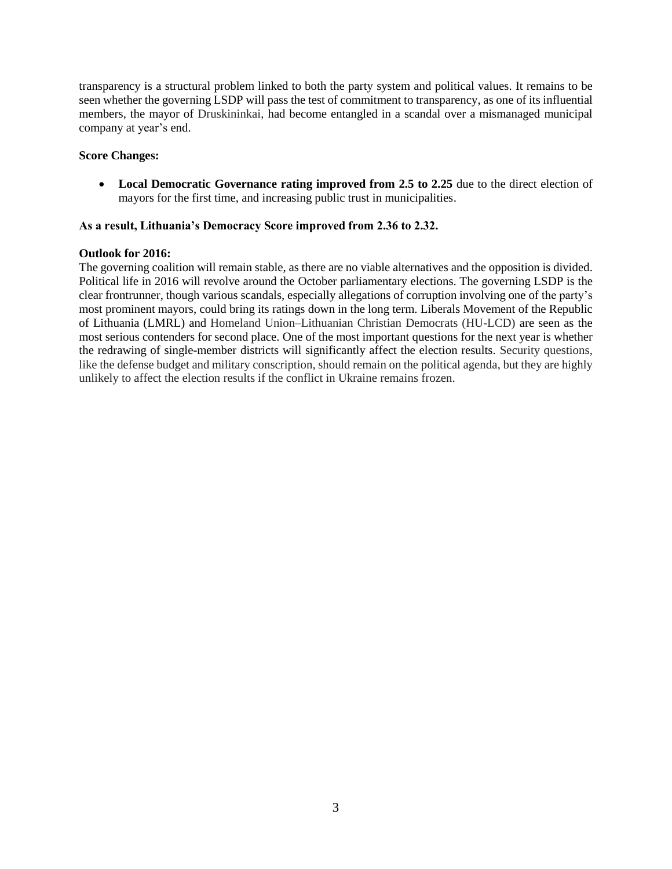transparency is a structural problem linked to both the party system and political values. It remains to be seen whether the governing LSDP will pass the test of commitment to transparency, as one of its influential members, the mayor of Druskininkai, had become entangled in a scandal over a mismanaged municipal company at year's end.

### **Score Changes:**

 **Local Democratic Governance rating improved from 2.5 to 2.25** due to the direct election of mayors for the first time, and increasing public trust in municipalities.

### **As a result, Lithuania's Democracy Score improved from 2.36 to 2.32.**

### **Outlook for 2016:**

The governing coalition will remain stable, as there are no viable alternatives and the opposition is divided. Political life in 2016 will revolve around the October parliamentary elections. The governing LSDP is the clear frontrunner, though various scandals, especially allegations of corruption involving one of the party's most prominent mayors, could bring its ratings down in the long term. Liberals Movement of the Republic of Lithuania (LMRL) and Homeland Union–Lithuanian Christian Democrats (HU-LCD) are seen as the most serious contenders for second place. One of the most important questions for the next year is whether the redrawing of single-member districts will significantly affect the election results. Security questions, like the defense budget and military conscription, should remain on the political agenda, but they are highly unlikely to affect the election results if the conflict in Ukraine remains frozen.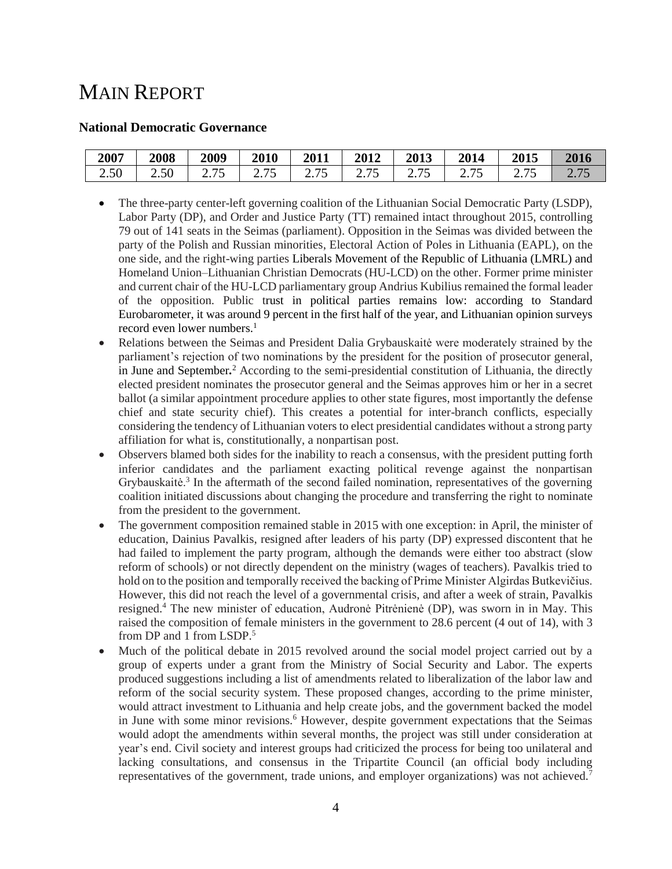# MAIN REPORT

### **National Democratic Governance**

| 2007                        | 2008 | 2009                                | 2010                              | 2011                    | 2012 | 2013                                                          | 2014                           | 2015  | 2016               |
|-----------------------------|------|-------------------------------------|-----------------------------------|-------------------------|------|---------------------------------------------------------------|--------------------------------|-------|--------------------|
| $\sim$<br>2.50 <sub>1</sub> | 2.50 | $\overline{\phantom{m}}$<br>ں ، ، ب | $\overline{\phantom{a}}$<br>ں ہے۔ | $\overline{ }$<br>ں ، ۔ |      | $\overline{\phantom{a}}$<br>$\overline{v}$ . I $\overline{v}$ | $\overline{\phantom{a}}$<br>∠. | ں ، ۔ | $\sim\cdot$ $\sim$ |

- The three-party center-left governing coalition of the Lithuanian Social Democratic Party (LSDP), Labor Party (DP), and Order and Justice Party (TT) remained intact throughout 2015, controlling 79 out of 141 seats in the Seimas (parliament). Opposition in the Seimas was divided between the party of the Polish and Russian minorities, Electoral Action of Poles in Lithuania (EAPL), on the one side, and the right-wing parties Liberals Movement of the Republic of Lithuania (LMRL) and Homeland Union–Lithuanian Christian Democrats (HU-LCD) on the other. Former prime minister and current chair of the HU-LCD parliamentary group Andrius Kubilius remained the formal leader of the opposition. Public trust in political parties remains low: according to Standard Eurobarometer, it was around 9 percent in the first half of the year, and Lithuanian opinion surveys record even lower numbers.<sup>1</sup>
- Relations between the Seimas and President Dalia Grybauskaitė were moderately strained by the parliament's rejection of two nominations by the president for the position of prosecutor general, in June and September*.* <sup>2</sup> According to the semi-presidential constitution of Lithuania, the directly elected president nominates the prosecutor general and the Seimas approves him or her in a secret ballot (a similar appointment procedure applies to other state figures, most importantly the defense chief and state security chief). This creates a potential for inter-branch conflicts, especially considering the tendency of Lithuanian voters to elect presidential candidates without a strong party affiliation for what is, constitutionally, a nonpartisan post.
- Observers blamed both sides for the inability to reach a consensus, with the president putting forth inferior candidates and the parliament exacting political revenge against the nonpartisan Grybauskaitė.<sup>3</sup> In the aftermath of the second failed nomination, representatives of the governing coalition initiated discussions about changing the procedure and transferring the right to nominate from the president to the government.
- The government composition remained stable in 2015 with one exception: in April, the minister of education, Dainius Pavalkis, resigned after leaders of his party (DP) expressed discontent that he had failed to implement the party program, although the demands were either too abstract (slow reform of schools) or not directly dependent on the ministry (wages of teachers). Pavalkis tried to hold on to the position and temporally received the backing of Prime Minister Algirdas Butkevičius. However, this did not reach the level of a governmental crisis, and after a week of strain, Pavalkis resigned.<sup>4</sup> The new minister of education, Audronė Pitrėnienė (DP), was sworn in in May. This raised the composition of female ministers in the government to 28.6 percent (4 out of 14), with 3 from DP and 1 from LSDP.<sup>5</sup>
- Much of the political debate in 2015 revolved around the social model project carried out by a group of experts under a grant from the Ministry of Social Security and Labor. The experts produced suggestions including a list of amendments related to liberalization of the labor law and reform of the social security system. These proposed changes, according to the prime minister, would attract investment to Lithuania and help create jobs, and the government backed the model in June with some minor revisions.<sup>6</sup> However, despite government expectations that the Seimas would adopt the amendments within several months, the project was still under consideration at year's end. Civil society and interest groups had criticized the process for being too unilateral and lacking consultations, and consensus in the Tripartite Council (an official body including representatives of the government, trade unions, and employer organizations) was not achieved.7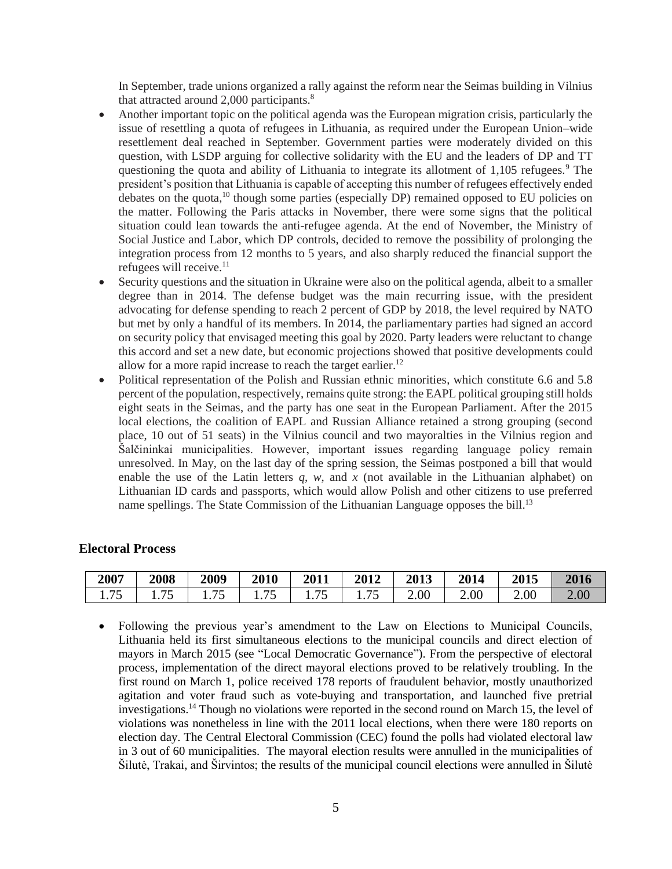In September, trade unions organized a rally against the reform near the Seimas building in Vilnius that attracted around 2,000 participants.<sup>8</sup>

- Another important topic on the political agenda was the European migration crisis, particularly the issue of resettling a quota of refugees in Lithuania, as required under the European Union–wide resettlement deal reached in September. Government parties were moderately divided on this question, with LSDP arguing for collective solidarity with the EU and the leaders of DP and TT questioning the quota and ability of Lithuania to integrate its allotment of  $1,105$  refugees.<sup>9</sup> The president's position that Lithuania is capable of accepting this number of refugees effectively ended debates on the quota, $^{10}$  though some parties (especially DP) remained opposed to EU policies on the matter. Following the Paris attacks in November, there were some signs that the political situation could lean towards the anti-refugee agenda. At the end of November, the Ministry of Social Justice and Labor, which DP controls, decided to remove the possibility of prolonging the integration process from 12 months to 5 years, and also sharply reduced the financial support the refugees will receive. $11$
- Security questions and the situation in Ukraine were also on the political agenda, albeit to a smaller degree than in 2014. The defense budget was the main recurring issue, with the president advocating for defense spending to reach 2 percent of GDP by 2018, the level required by NATO but met by only a handful of its members. In 2014, the parliamentary parties had signed an accord on security policy that envisaged meeting this goal by 2020. Party leaders were reluctant to change this accord and set a new date, but economic projections showed that positive developments could allow for a more rapid increase to reach the target earlier.<sup>12</sup>
- Political representation of the Polish and Russian ethnic minorities, which constitute 6.6 and 5.8 percent of the population, respectively, remains quite strong: the EAPL political grouping still holds eight seats in the Seimas, and the party has one seat in the European Parliament. After the 2015 local elections, the coalition of EAPL and Russian Alliance retained a strong grouping (second place, 10 out of 51 seats) in the Vilnius council and two mayoralties in the Vilnius region and Šalčininkai municipalities. However, important issues regarding language policy remain unresolved. In May, on the last day of the spring session, the Seimas postponed a bill that would enable the use of the Latin letters  $q$ ,  $w$ , and  $x$  (not available in the Lithuanian alphabet) on Lithuanian ID cards and passports, which would allow Polish and other citizens to use preferred name spellings. The State Commission of the Lithuanian Language opposes the bill.<sup>13</sup>

### **Electoral Process**

| 2007       | 2008        | 2009                                         | 2010                                       | 2011                                      | 2012                               | 2013 | 2014 | 2015 | 2016 |
|------------|-------------|----------------------------------------------|--------------------------------------------|-------------------------------------------|------------------------------------|------|------|------|------|
| 75<br>1.70 | コピ<br>1.1 J | $\overline{\phantom{a}}$<br>1 . <i>. .</i> . | $\overline{\phantom{a}}$<br>. . <i>.</i> . | $\overline{\phantom{0}}$<br>1. <i>I</i> J | $\overline{\phantom{m}}$<br>1. I J | 2.00 | 2.00 | 2.00 | 2.00 |

 Following the previous year's amendment to the Law on Elections to Municipal Councils, Lithuania held its first simultaneous elections to the municipal councils and direct election of mayors in March 2015 (see "Local Democratic Governance"). From the perspective of electoral process, implementation of the direct mayoral elections proved to be relatively troubling. In the first round on March 1, police received 178 reports of fraudulent behavior, mostly unauthorized agitation and voter fraud such as vote-buying and transportation, and launched five pretrial investigations.<sup>14</sup> Though no violations were reported in the second round on March 15, the level of violations was nonetheless in line with the 2011 local elections, when there were 180 reports on election day. The Central Electoral Commission (CEC) found the polls had violated electoral law in 3 out of 60 municipalities. The mayoral election results were annulled in the municipalities of Šilutė, Trakai, and Širvintos; the results of the municipal council elections were annulled in Šilutė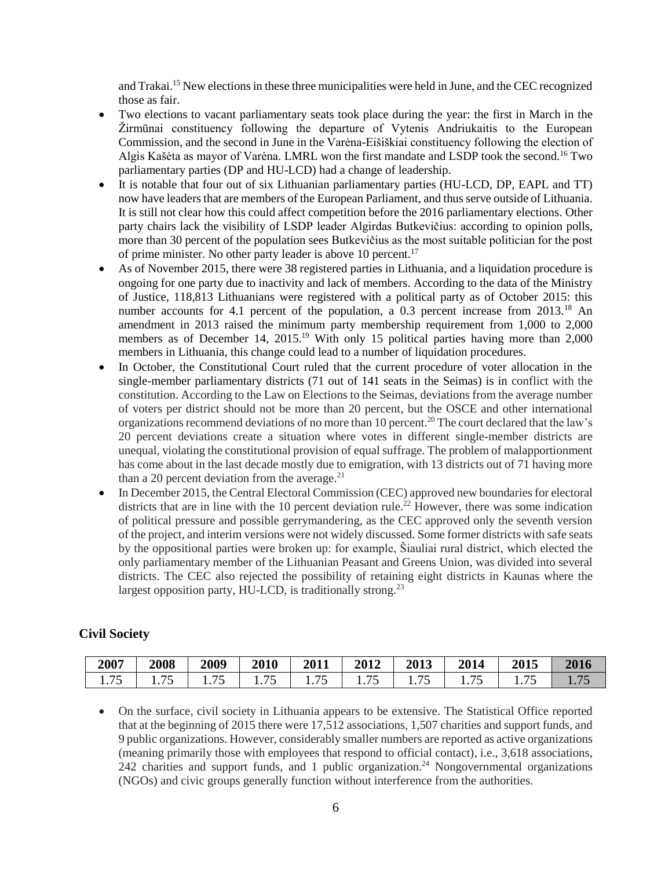and Trakai.<sup>15</sup> New elections in these three municipalities were held in June, and the CEC recognized those as fair.

- Two elections to vacant parliamentary seats took place during the year: the first in March in the Žirmūnai constituency following the departure of Vytenis Andriukaitis to the European Commission, and the second in June in the Varėna-Eišiškiai constituency following the election of Algis Kašėta as mayor of Varėna. LMRL won the first mandate and LSDP took the second.<sup>16</sup> Two parliamentary parties (DP and HU-LCD) had a change of leadership.
- It is notable that four out of six Lithuanian parliamentary parties (HU-LCD, DP, EAPL and TT) now have leaders that are members of the European Parliament, and thus serve outside of Lithuania. It is still not clear how this could affect competition before the 2016 parliamentary elections. Other party chairs lack the visibility of LSDP leader Algirdas Butkevičius: according to opinion polls, more than 30 percent of the population sees Butkevičius as the most suitable politician for the post of prime minister. No other party leader is above 10 percent.<sup>17</sup>
- As of November 2015, there were 38 registered parties in Lithuania, and a liquidation procedure is ongoing for one party due to inactivity and lack of members. According to the data of the Ministry of Justice, 118,813 Lithuanians were registered with a political party as of October 2015: this number accounts for 4.1 percent of the population, a 0.3 percent increase from 2013.<sup>18</sup> An amendment in 2013 raised the minimum party membership requirement from 1,000 to 2,000 members as of December 14, 2015.<sup>19</sup> With only 15 political parties having more than 2,000 members in Lithuania, this change could lead to a number of liquidation procedures.
- In October, the Constitutional Court ruled that the current procedure of voter allocation in the single-member parliamentary districts (71 out of 141 seats in the Seimas) is in conflict with the constitution. According to the Law on Elections to the Seimas, deviations from the average number of voters per district should not be more than 20 percent, but the OSCE and other international organizations recommend deviations of no more than 10 percent.<sup>20</sup> The court declared that the law's 20 percent deviations create a situation where votes in different single-member districts are unequal, violating the constitutional provision of equal suffrage. The problem of malapportionment has come about in the last decade mostly due to emigration, with 13 districts out of 71 having more than a 20 percent deviation from the average. $^{21}$
- In December 2015, the Central Electoral Commission (CEC) approved new boundaries for electoral districts that are in line with the 10 percent deviation rule.<sup>22</sup> However, there was some indication of political pressure and possible gerrymandering, as the CEC approved only the seventh version of the project, and interim versions were not widely discussed. Some former districts with safe seats by the oppositional parties were broken up: for example, Šiauliai rural district, which elected the only parliamentary member of the Lithuanian Peasant and Greens Union, was divided into several districts. The CEC also rejected the possibility of retaining eight districts in Kaunas where the largest opposition party, HU-LCD, is traditionally strong.<sup>23</sup>

### **Civil Society**

| 2007   | 2008         | 2009            | 2010   | 2011 | 2012           | 2013       | 2014        | 2015 | 2016 |
|--------|--------------|-----------------|--------|------|----------------|------------|-------------|------|------|
| 1. I J | ワミ<br>1. I J | 1. <i>. .</i> . | 1. I J | 75   | . . <i>.</i> . | $1.1 \cup$ | <b>1.10</b> | ر ،  |      |

 On the surface, civil society in Lithuania appears to be extensive. The Statistical Office reported that at the beginning of 2015 there were 17,512 associations, 1,507 charities and support funds, and 9 public organizations. However, considerably smaller numbers are reported as active organizations (meaning primarily those with employees that respond to official contact), i.e., 3,618 associations, 242 charities and support funds, and 1 public organization. <sup>24</sup> Nongovernmental organizations (NGOs) and civic groups generally function without interference from the authorities.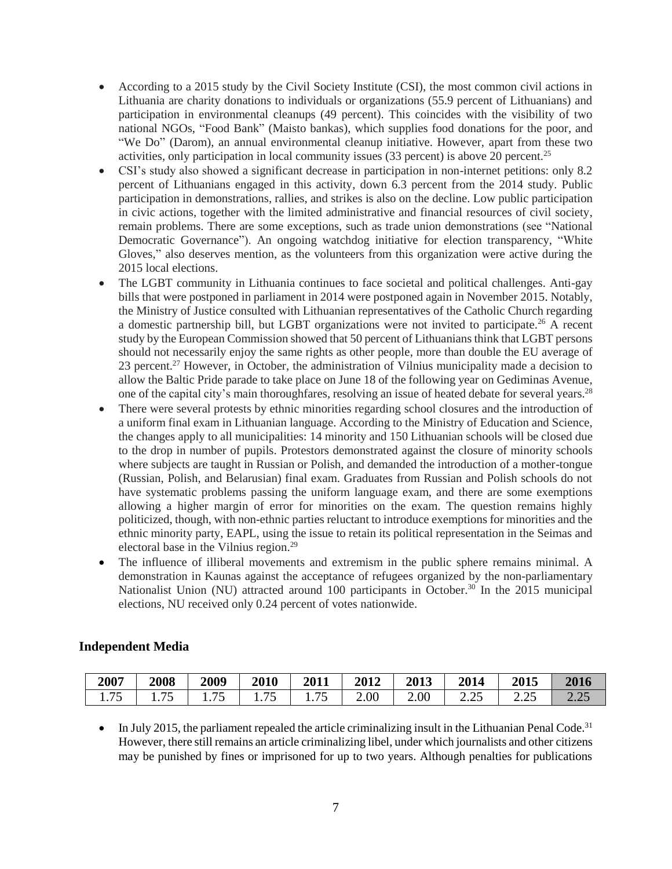- According to a 2015 study by the Civil Society Institute (CSI), the most common civil actions in Lithuania are charity donations to individuals or organizations (55.9 percent of Lithuanians) and participation in environmental cleanups (49 percent). This coincides with the visibility of two national NGOs, "Food Bank" (Maisto bankas), which supplies food donations for the poor, and "We Do" (Darom), an annual environmental cleanup initiative. However, apart from these two activities, only participation in local community issues (33 percent) is above 20 percent.<sup>25</sup>
- CSI's study also showed a significant decrease in participation in non-internet petitions: only 8.2 percent of Lithuanians engaged in this activity, down 6.3 percent from the 2014 study. Public participation in demonstrations, rallies, and strikes is also on the decline. Low public participation in civic actions, together with the limited administrative and financial resources of civil society, remain problems. There are some exceptions, such as trade union demonstrations (see "National Democratic Governance"). An ongoing watchdog initiative for election transparency, "White Gloves," also deserves mention, as the volunteers from this organization were active during the 2015 local elections.
- The LGBT community in Lithuania continues to face societal and political challenges. Anti-gay bills that were postponed in parliament in 2014 were postponed again in November 2015. Notably, the Ministry of Justice consulted with Lithuanian representatives of the Catholic Church regarding a domestic partnership bill, but LGBT organizations were not invited to participate.<sup>26</sup> A recent study by the European Commission showed that 50 percent of Lithuanians think that LGBT persons should not necessarily enjoy the same rights as other people, more than double the EU average of 23 percent.<sup>27</sup> However, in October, the administration of Vilnius municipality made a decision to allow the Baltic Pride parade to take place on June 18 of the following year on Gediminas Avenue, one of the capital city's main thoroughfares, resolving an issue of heated debate for several years.<sup>28</sup>
- There were several protests by ethnic minorities regarding school closures and the introduction of a uniform final exam in Lithuanian language. According to the Ministry of Education and Science, the changes apply to all municipalities: 14 minority and 150 Lithuanian schools will be closed due to the drop in number of pupils. Protestors demonstrated against the closure of minority schools where subjects are taught in Russian or Polish, and demanded the introduction of a mother-tongue (Russian, Polish, and Belarusian) final exam. Graduates from Russian and Polish schools do not have systematic problems passing the uniform language exam, and there are some exemptions allowing a higher margin of error for minorities on the exam. The question remains highly politicized, though, with non-ethnic parties reluctant to introduce exemptions for minorities and the ethnic minority party, EAPL, using the issue to retain its political representation in the Seimas and electoral base in the Vilnius region.<sup>29</sup>
- The influence of illiberal movements and extremism in the public sphere remains minimal. A demonstration in Kaunas against the acceptance of refugees organized by the non-parliamentary Nationalist Union (NU) attracted around 100 participants in October.<sup>30</sup> In the 2015 municipal elections, NU received only 0.24 percent of votes nationwide.

| <b>Independent Media</b> |
|--------------------------|
|--------------------------|

| 2007   | 2008         | 2009         | 2010        | 2011   | 2012 | 2013 | 2014 | 2015          | 2016        |
|--------|--------------|--------------|-------------|--------|------|------|------|---------------|-------------|
| 1. / J | --<br>1. / J | クぐ<br>1. / J | コヒ<br>1.1 J | 1. I J | 2.00 | 2.00 | ∠.∠  | າເ<br>ل کے وک | 200<br>4.4J |

 $\bullet$  In July 2015, the parliament repealed the article criminalizing insult in the Lithuanian Penal Code.<sup>31</sup> However, there still remains an article criminalizing libel, under which journalists and other citizens may be punished by fines or imprisoned for up to two years. Although penalties for publications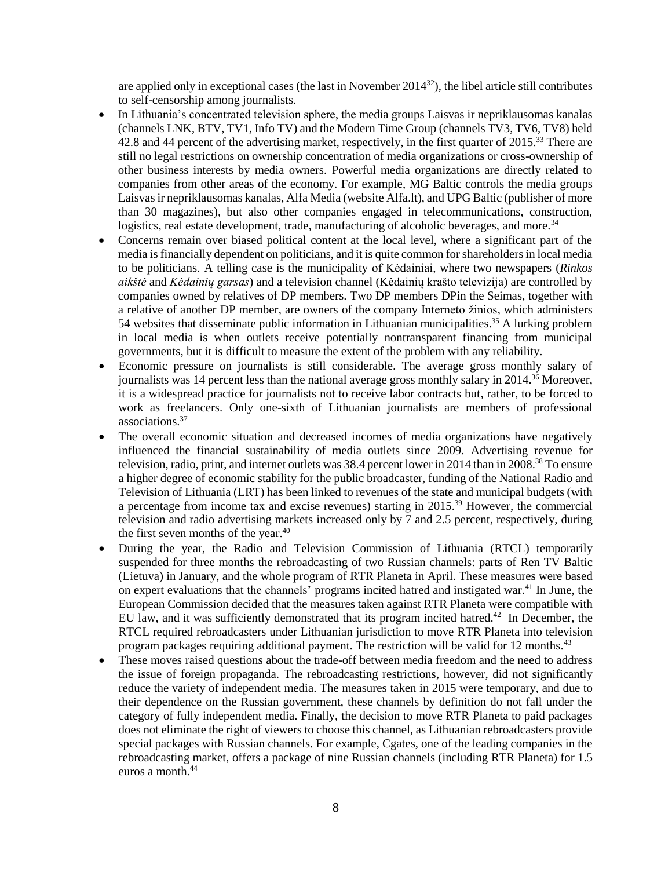are applied only in exceptional cases (the last in November  $2014^{32}$ ), the libel article still contributes to self-censorship among journalists.

- In Lithuania's concentrated television sphere, the media groups Laisvas ir nepriklausomas kanalas (channels LNK, BTV, TV1, Info TV) and the Modern Time Group (channels TV3, TV6, TV8) held 42.8 and 44 percent of the advertising market, respectively, in the first quarter of 2015.<sup>33</sup> There are still no legal restrictions on ownership concentration of media organizations or cross-ownership of other business interests by media owners. Powerful media organizations are directly related to companies from other areas of the economy. For example, MG Baltic controls the media groups Laisvas ir nepriklausomas kanalas, Alfa Media (website Alfa.lt), and UPG Baltic (publisher of more than 30 magazines), but also other companies engaged in telecommunications, construction, logistics, real estate development, trade, manufacturing of alcoholic beverages, and more.<sup>34</sup>
- Concerns remain over biased political content at the local level, where a significant part of the media is financially dependent on politicians, and it is quite common for shareholders in local media to be politicians. A telling case is the municipality of Kėdainiai, where two newspapers (*Rinkos aikštė* and *Kėdainių garsas*) and a television channel (Kėdainių krašto televizija) are controlled by companies owned by relatives of DP members. Two DP members DPin the Seimas, together with a relative of another DP member, are owners of the company Interneto žinios, which administers 54 websites that disseminate public information in Lithuanian municipalities. <sup>35</sup> A lurking problem in local media is when outlets receive potentially nontransparent financing from municipal governments, but it is difficult to measure the extent of the problem with any reliability.
- Economic pressure on journalists is still considerable. The average gross monthly salary of journalists was 14 percent less than the national average gross monthly salary in 2014.<sup>36</sup> Moreover, it is a widespread practice for journalists not to receive labor contracts but, rather, to be forced to work as freelancers. Only one-sixth of Lithuanian journalists are members of professional associations.<sup>37</sup>
- The overall economic situation and decreased incomes of media organizations have negatively influenced the financial sustainability of media outlets since 2009. Advertising revenue for television, radio, print, and internet outlets was 38.4 percent lower in 2014 than in 2008.<sup>38</sup> To ensure a higher degree of economic stability for the public broadcaster, funding of the National Radio and Television of Lithuania (LRT) has been linked to revenues of the state and municipal budgets (with a percentage from income tax and excise revenues) starting in 2015.<sup>39</sup> However, the commercial television and radio advertising markets increased only by 7 and 2.5 percent, respectively, during the first seven months of the year. 40
- During the year, the Radio and Television Commission of Lithuania (RTCL) temporarily suspended for three months the rebroadcasting of two Russian channels: parts of Ren TV Baltic (Lietuva) in January, and the whole program of RTR Planeta in April. These measures were based on expert evaluations that the channels' programs incited hatred and instigated war.<sup>41</sup> In June, the European Commission decided that the measures taken against RTR Planeta were compatible with EU law, and it was sufficiently demonstrated that its program incited hatred.<sup>42</sup> In December, the RTCL required rebroadcasters under Lithuanian jurisdiction to move RTR Planeta into television program packages requiring additional payment. The restriction will be valid for 12 months.<sup>43</sup>
- These moves raised questions about the trade-off between media freedom and the need to address the issue of foreign propaganda. The rebroadcasting restrictions, however, did not significantly reduce the variety of independent media. The measures taken in 2015 were temporary, and due to their dependence on the Russian government, these channels by definition do not fall under the category of fully independent media. Finally, the decision to move RTR Planeta to paid packages does not eliminate the right of viewers to choose this channel, as Lithuanian rebroadcasters provide special packages with Russian channels. For example, Cgates, one of the leading companies in the rebroadcasting market, offers a package of nine Russian channels (including RTR Planeta) for 1.5 euros a month.<sup>44</sup>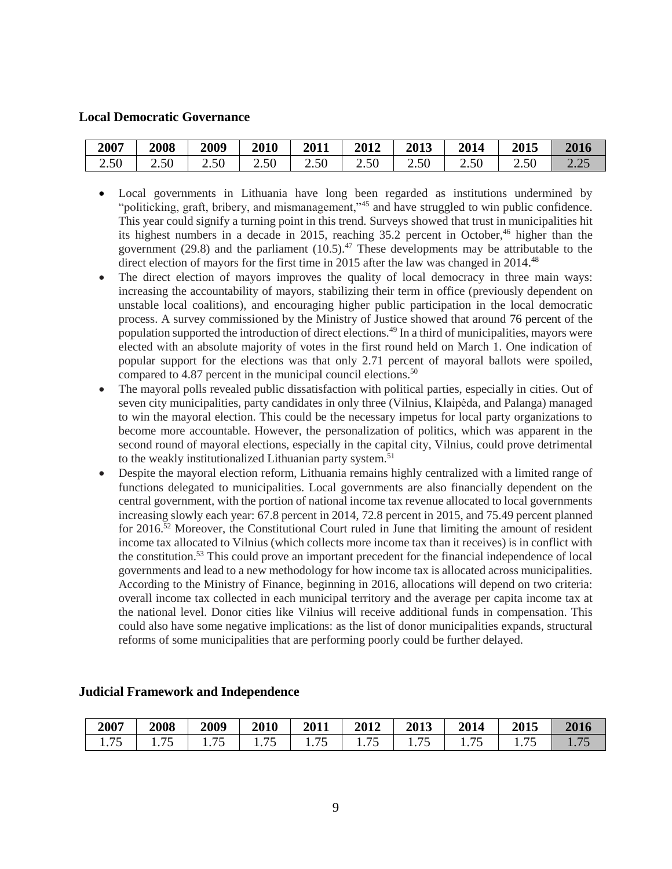### **Local Democratic Governance**

| 2007        | 2008 | 2009 | <b>2010</b> | 2011 | 2012 | 2013 | 2014 | <b>2015</b> | 2016                                                     |
|-------------|------|------|-------------|------|------|------|------|-------------|----------------------------------------------------------|
| $\angle 50$ | 2.50 | 2.50 | 2.50        | 2.50 | 2.50 | 2.50 | 2.50 | 2.50        | $\overline{\phantom{m}}\cdot\overline{\phantom{m}}\cdot$ |

- Local governments in Lithuania have long been regarded as institutions undermined by "politicking, graft, bribery, and mismanagement,"<sup>45</sup> and have struggled to win public confidence. This year could signify a turning point in this trend. Surveys showed that trust in municipalities hit its highest numbers in a decade in 2015, reaching 35.2 percent in October,<sup>46</sup> higher than the government (29.8) and the parliament  $(10.5)$ .<sup>47</sup> These developments may be attributable to the direct election of mayors for the first time in 2015 after the law was changed in 2014.<sup>48</sup>
- The direct election of mayors improves the quality of local democracy in three main ways: increasing the accountability of mayors, stabilizing their term in office (previously dependent on unstable local coalitions), and encouraging higher public participation in the local democratic process. A survey commissioned by the Ministry of Justice showed that around 76 percent of the population supported the introduction of direct elections.<sup>49</sup> In a third of municipalities, mayors were elected with an absolute majority of votes in the first round held on March 1. One indication of popular support for the elections was that only 2.71 percent of mayoral ballots were spoiled, compared to 4.87 percent in the municipal council elections.<sup>50</sup>
- The mayoral polls revealed public dissatisfaction with political parties, especially in cities. Out of seven city municipalities, party candidates in only three (Vilnius, Klaipėda, and Palanga) managed to win the mayoral election. This could be the necessary impetus for local party organizations to become more accountable. However, the personalization of politics, which was apparent in the second round of mayoral elections, especially in the capital city, Vilnius, could prove detrimental to the weakly institutionalized Lithuanian party system.<sup>51</sup>
- Despite the mayoral election reform, Lithuania remains highly centralized with a limited range of functions delegated to municipalities. Local governments are also financially dependent on the central government, with the portion of national income tax revenue allocated to local governments increasing slowly each year: 67.8 percent in 2014, 72.8 percent in 2015, and 75.49 percent planned for 2016.<sup>52</sup> Moreover, the Constitutional Court ruled in June that limiting the amount of resident income tax allocated to Vilnius (which collects more income tax than it receives) is in conflict with the constitution.<sup>53</sup> This could prove an important precedent for the financial independence of local governments and lead to a new methodology for how income tax is allocated across municipalities. According to the Ministry of Finance, beginning in 2016, allocations will depend on two criteria: overall income tax collected in each municipal territory and the average per capita income tax at the national level. Donor cities like Vilnius will receive additional funds in compensation. This could also have some negative implications: as the list of donor municipalities expands, structural reforms of some municipalities that are performing poorly could be further delayed.

| 2007         | 2008   | 2009 | 2010             | 2011 | 2012 | 2013           | 2014 | 2015          | 2016 |
|--------------|--------|------|------------------|------|------|----------------|------|---------------|------|
| 75<br>1. I J | 1. / J |      | 1 . <i>. .</i> . | 75   |      | 1 . <i>. .</i> |      | 1. <i>I</i> J |      |

#### **Judicial Framework and Independence**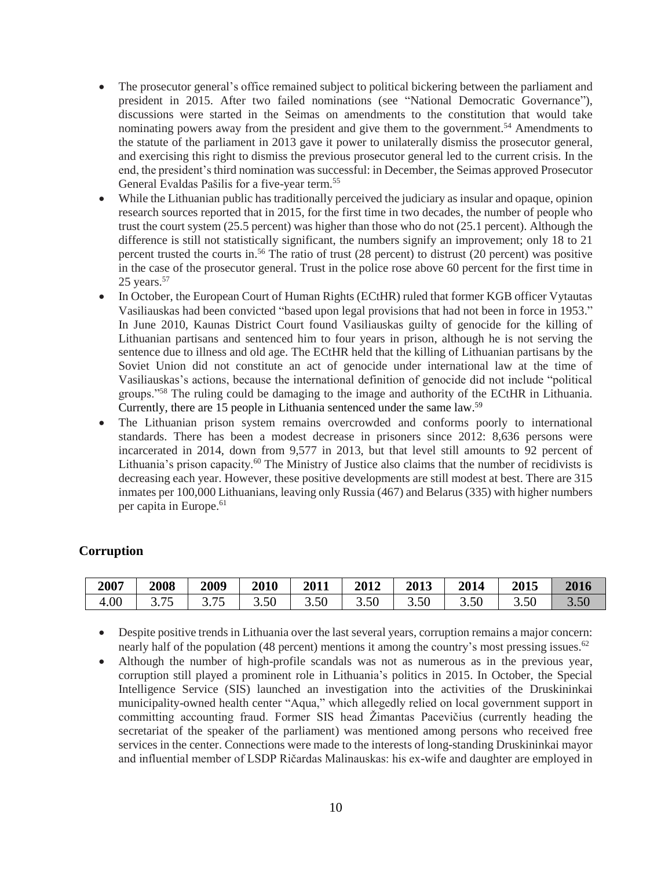- The prosecutor general's office remained subject to political bickering between the parliament and president in 2015. After two failed nominations (see "National Democratic Governance"), discussions were started in the Seimas on amendments to the constitution that would take nominating powers away from the president and give them to the government.<sup>54</sup> Amendments to the statute of the parliament in 2013 gave it power to unilaterally dismiss the prosecutor general, and exercising this right to dismiss the previous prosecutor general led to the current crisis. In the end, the president's third nomination was successful: in December, the Seimas approved Prosecutor General Evaldas Pašilis for a five-year term.<sup>55</sup>
- While the Lithuanian public has traditionally perceived the judiciary as insular and opaque, opinion research sources reported that in 2015, for the first time in two decades, the number of people who trust the court system (25.5 percent) was higher than those who do not (25.1 percent). Although the difference is still not statistically significant, the numbers signify an improvement; only 18 to 21 percent trusted the courts in. <sup>56</sup> The ratio of trust (28 percent) to distrust (20 percent) was positive in the case of the prosecutor general. Trust in the police rose above 60 percent for the first time in  $25$  years.<sup>57</sup>
- In October, the European Court of Human Rights (ECtHR) ruled that former KGB officer Vytautas Vasiliauskas had been convicted "based upon legal provisions that had not been in force in 1953." In June 2010, Kaunas District Court found Vasiliauskas guilty of genocide for the killing of Lithuanian partisans and sentenced him to four years in prison, although he is not serving the sentence due to illness and old age. The ECtHR held that the killing of Lithuanian partisans by the Soviet Union did not constitute an act of genocide under international law at the time of Vasiliauskas's actions, because the international definition of genocide did not include "political groups."<sup>58</sup> The ruling could be damaging to the image and authority of the ECtHR in Lithuania. Currently, there are 15 people in Lithuania sentenced under the same law. 59
- The Lithuanian prison system remains overcrowded and conforms poorly to international standards. There has been a modest decrease in prisoners since 2012: 8,636 persons were incarcerated in 2014, down from 9,577 in 2013, but that level still amounts to 92 percent of Lithuania's prison capacity.<sup>60</sup> The Ministry of Justice also claims that the number of recidivists is decreasing each year. However, these positive developments are still modest at best. There are 315 inmates per 100,000 Lithuanians, leaving only Russia (467) and Belarus (335) with higher numbers per capita in Europe. 61

### **Corruption**

| 2007 | 2008                                | 2009          | 2010       | 2011 | 2012 | 2013 | 2014       | 2015 | 2016 |
|------|-------------------------------------|---------------|------------|------|------|------|------------|------|------|
| 4.00 | $\overline{\phantom{0}}$<br>ن ، ، ب | 75<br>ن ، ، ب | 5Λ<br>J.JU | 3.50 | 5.50 | 3.50 | 50<br>J.JU | 3.50 | 3.50 |

 Despite positive trends in Lithuania over the last several years, corruption remains a major concern: nearly half of the population (48 percent) mentions it among the country's most pressing issues. $62$ 

 Although the number of high-profile scandals was not as numerous as in the previous year, corruption still played a prominent role in Lithuania's politics in 2015. In October, the Special Intelligence Service (SIS) launched an investigation into the activities of the Druskininkai municipality-owned health center "Aqua," which allegedly relied on local government support in committing accounting fraud. Former SIS head Žimantas Pacevičius (currently heading the secretariat of the speaker of the parliament) was mentioned among persons who received free services in the center. Connections were made to the interests of long-standing Druskininkai mayor and influential member of LSDP Ričardas Malinauskas: his ex-wife and daughter are employed in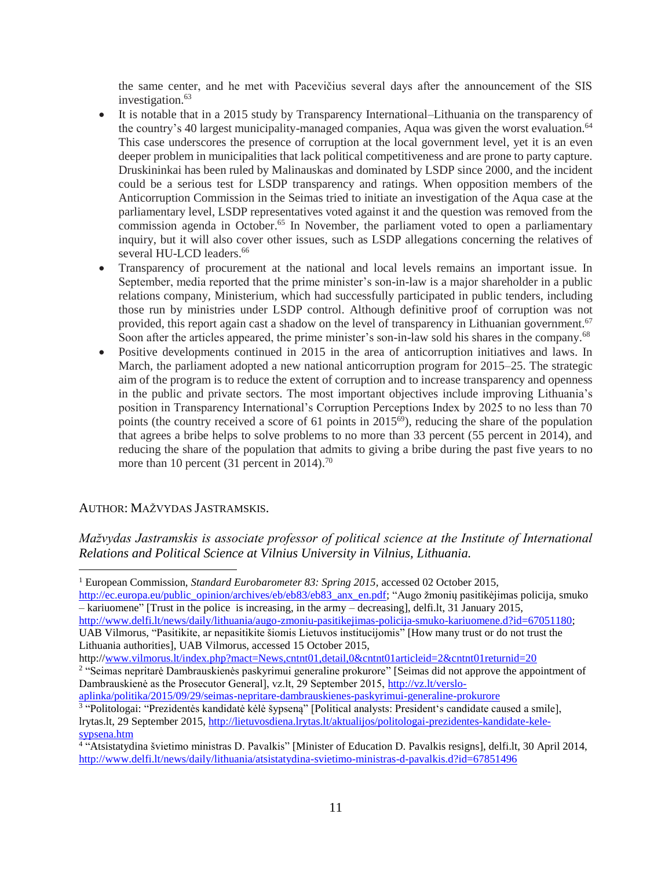the same center, and he met with Pacevičius several days after the announcement of the SIS investigation.<sup>63</sup>

- It is notable that in a 2015 study by Transparency International–Lithuania on the transparency of the country's 40 largest municipality-managed companies, Aqua was given the worst evaluation.<sup>64</sup> This case underscores the presence of corruption at the local government level, yet it is an even deeper problem in municipalities that lack political competitiveness and are prone to party capture. Druskininkai has been ruled by Malinauskas and dominated by LSDP since 2000, and the incident could be a serious test for LSDP transparency and ratings. When opposition members of the Anticorruption Commission in the Seimas tried to initiate an investigation of the Aqua case at the parliamentary level, LSDP representatives voted against it and the question was removed from the commission agenda in October.<sup>65</sup> In November, the parliament voted to open a parliamentary inquiry, but it will also cover other issues, such as LSDP allegations concerning the relatives of several HU-LCD leaders.<sup>66</sup>
- Transparency of procurement at the national and local levels remains an important issue. In September, media reported that the prime minister's son-in-law is a major shareholder in a public relations company, Ministerium, which had successfully participated in public tenders, including those run by ministries under LSDP control. Although definitive proof of corruption was not provided, this report again cast a shadow on the level of transparency in Lithuanian government.<sup>67</sup> Soon after the articles appeared, the prime minister's son-in-law sold his shares in the company.<sup>68</sup>
- Positive developments continued in 2015 in the area of anticorruption initiatives and laws. In March, the parliament adopted a new national anticorruption program for 2015–25. The strategic aim of the program is to reduce the extent of corruption and to increase transparency and openness in the public and private sectors. The most important objectives include improving Lithuania's position in Transparency International's Corruption Perceptions Index by 2025 to no less than 70 points (the country received a score of 61 points in 2015<sup>69</sup>), reducing the share of the population that agrees a bribe helps to solve problems to no more than 33 percent (55 percent in 2014), and reducing the share of the population that admits to giving a bribe during the past five years to no more than 10 percent (31 percent in 2014).<sup>70</sup>

### AUTHOR: MAŽVYDAS JASTRAMSKIS.

 $\overline{a}$ 

*Mažvydas Jastramskis is associate professor of political science at the Institute of International Relations and Political Science at Vilnius University in Vilnius, Lithuania.*

[http://ec.europa.eu/public\\_opinion/archives/eb/eb83/eb83\\_anx\\_en.pdf;](http://ec.europa.eu/public_opinion/archives/eb/eb83/eb83_anx_en.pdf) "Augo žmonių pasitikėjimas policija, smuko – kariuomene" [Trust in the police is increasing, in the army – decreasing], delfi.lt, 31 January 2015,

[http://www.delfi.lt/news/daily/lithuania/augo-zmoniu-pasitikejimas-policija-smuko-kariuomene.d?id=67051180;](http://www.delfi.lt/news/daily/lithuania/augo-zmoniu-pasitikejimas-policija-smuko-kariuomene.d?id=67051180)

UAB Vilmorus, "Pasitikite, ar nepasitikite šiomis Lietuvos institucijomis" [How many trust or do not trust the Lithuania authorities], UAB Vilmorus, accessed 15 October 2015,

http://www.vilmorus.lt/index.php?mact=News.cntnt01.detail.0&cntnt01articleid=2&cntnt01returnid=20

[aplinka/politika/2015/09/29/seimas-nepritare-dambrauskienes-paskyrimui-generaline-prokurore](http://vz.lt/verslo-aplinka/politika/2015/09/29/seimas-nepritare-dambrauskienes-paskyrimui-generaline-prokurore)

<sup>1</sup> European Commission, *Standard Eurobarometer 83: Spring 2015*, accessed 02 October 2015,

<sup>2</sup> "Seimas nepritarė Dambrauskienės paskyrimui generaline prokurore" [Seimas did not approve the appointment of Dambrauskienė as the Prosecutor General], vz.lt, 29 September 2015, [http://vz.lt/verslo-](http://vz.lt/verslo-aplinka/politika/2015/09/29/seimas-nepritare-dambrauskienes-paskyrimui-generaline-prokurore)

<sup>&</sup>lt;sup>3</sup> "Politologai: "Prezidentės kandidatė kėlė šypseną" [Political analysts: President's candidate caused a smile], lrytas.lt, 29 September 2015, [http://lietuvosdiena.lrytas.lt/aktualijos/politologai-prezidentes-kandidate-kele](http://lietuvosdiena.lrytas.lt/aktualijos/politologai-prezidentes-kandidate-kele-sypsena.htm)[sypsena.htm](http://lietuvosdiena.lrytas.lt/aktualijos/politologai-prezidentes-kandidate-kele-sypsena.htm)

<sup>4</sup> "Atsistatydina švietimo ministras D. Pavalkis" [Minister of Education D. Pavalkis resigns], delfi.lt, 30 April 2014, <http://www.delfi.lt/news/daily/lithuania/atsistatydina-svietimo-ministras-d-pavalkis.d?id=67851496>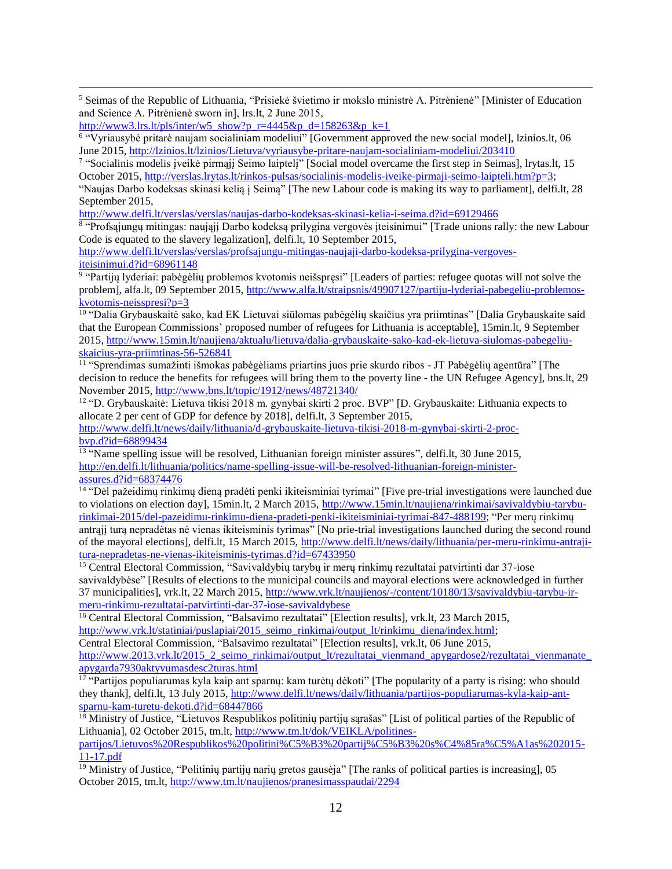$\overline{a}$ <sup>5</sup> Seimas of the Republic of Lithuania, "Prisiekė švietimo ir mokslo ministrė A. Pitrėnienė" [Minister of Education and Science A. Pitrėnienė sworn in], lrs.lt, 2 June 2015,

[http://www3.lrs.lt/pls/inter/w5\\_show?p\\_r=4445&p\\_d=158263&p\\_k=1](http://www3.lrs.lt/pls/inter/w5_show?p_r=4445&p_d=158263&p_k=1)

6 "Vyriausybė pritarė naujam socialiniam modeliui" [Government approved the new social model], lzinios.lt, 06 June 2015,<http://lzinios.lt/lzinios/Lietuva/vyriausybe-pritare-naujam-socialiniam-modeliui/203410>

<sup>7</sup> "Socialinis modelis įveikė pirmąjį Seimo laiptelį" [Social model overcame the first step in Seimas], lrytas.lt, 15 October 2015[, http://verslas.lrytas.lt/rinkos-pulsas/socialinis-modelis-iveike-pirmaji-seimo-laipteli.htm?p=3;](http://verslas.lrytas.lt/rinkos-pulsas/socialinis-modelis-iveike-pirmaji-seimo-laipteli.htm?p=3)

"Naujas Darbo kodeksas skinasi kelią į Seimą" [The new Labour code is making its way to parliament], delfi.lt, 28 September 2015,

<http://www.delfi.lt/verslas/verslas/naujas-darbo-kodeksas-skinasi-kelia-i-seima.d?id=69129466>

8 "Profsąjungų mitingas: naująjį Darbo kodeksą prilygina vergovės įteisinimui" [Trade unions rally: the new Labour Code is equated to the slavery legalization], delfi.lt, 10 September 2015,

[http://www.delfi.lt/verslas/verslas/profsajungu-mitingas-naujaji-darbo-kodeksa-prilygina-vergoves](http://www.delfi.lt/verslas/verslas/profsajungu-mitingas-naujaji-darbo-kodeksa-prilygina-vergoves-iteisinimui.d?id=68961148)[iteisinimui.d?id=68961148](http://www.delfi.lt/verslas/verslas/profsajungu-mitingas-naujaji-darbo-kodeksa-prilygina-vergoves-iteisinimui.d?id=68961148)

9 "Partijų lyderiai: pabėgėlių problemos kvotomis neišspręsi" [Leaders of parties: refugee quotas will not solve the problem], alfa.lt, 09 September 2015, [http://www.alfa.lt/straipsnis/49907127/partiju-lyderiai-pabegeliu-problemos](http://www.alfa.lt/straipsnis/49907127/partiju-lyderiai-pabegeliu-problemos-kvotomis-neisspresi?p=3)[kvotomis-neisspresi?p=3](http://www.alfa.lt/straipsnis/49907127/partiju-lyderiai-pabegeliu-problemos-kvotomis-neisspresi?p=3)

<sup>10</sup> "Dalia Grybauskaitė sako, kad EK Lietuvai siūlomas pabėgėlių skaičius yra priimtinas" [Dalia Grybauskaite said that the European Commissions' proposed number of refugees for Lithuania is acceptable], 15min.lt, 9 September 2015, [http://www.15min.lt/naujiena/aktualu/lietuva/dalia-grybauskaite-sako-kad-ek-lietuva-siulomas-pabegeliu](http://www.15min.lt/naujiena/aktualu/lietuva/dalia-grybauskaite-sako-kad-ek-lietuva-siulomas-pabegeliu-skaicius-yra-priimtinas-56-526841)[skaicius-yra-priimtinas-56-526841](http://www.15min.lt/naujiena/aktualu/lietuva/dalia-grybauskaite-sako-kad-ek-lietuva-siulomas-pabegeliu-skaicius-yra-priimtinas-56-526841)

<sup>11</sup> "Sprendimas sumažinti išmokas pabėgėliams priartins juos prie skurdo ribos - JT Pabėgėlių agentūra" [The decision to reduce the benefits for refugees will bring them to the poverty line - the UN Refugee Agency], bns.lt, 29 November 2015[, http://www.bns.lt/topic/1912/news/48721340/](http://www.bns.lt/topic/1912/news/48721340/)

<sup>12</sup> "D. Grybauskaitė: Lietuva tikisi 2018 m. gynybai skirti 2 proc. BVP" [D. Grybauskaite: Lithuania expects to allocate 2 per cent of GDP for defence by 2018], delfi.lt, 3 September 2015,

[http://www.delfi.lt/news/daily/lithuania/d-grybauskaite-lietuva-tikisi-2018-m-gynybai-skirti-2-proc](http://www.delfi.lt/news/daily/lithuania/d-grybauskaite-lietuva-tikisi-2018-m-gynybai-skirti-2-proc-bvp.d?id=68899434)[bvp.d?id=68899434](http://www.delfi.lt/news/daily/lithuania/d-grybauskaite-lietuva-tikisi-2018-m-gynybai-skirti-2-proc-bvp.d?id=68899434)

<sup>13</sup> "Name spelling issue will be resolved, Lithuanian foreign minister assures", delfi.lt, 30 June 2015, [http://en.delfi.lt/lithuania/politics/name-spelling-issue-will-be-resolved-lithuanian-foreign-minister](http://en.delfi.lt/lithuania/politics/name-spelling-issue-will-be-resolved-lithuanian-foreign-minister-assures.d?id=68374476)[assures.d?id=68374476](http://en.delfi.lt/lithuania/politics/name-spelling-issue-will-be-resolved-lithuanian-foreign-minister-assures.d?id=68374476)

<sup>14</sup> "Dėl pažeidimų rinkimų dieną pradėti penki ikiteisminiai tyrimai" [Five pre-trial investigations were launched due to violations on election day], 15min.lt, 2 March 2015, [http://www.15min.lt/naujiena/rinkimai/savivaldybiu-tarybu](http://www.15min.lt/naujiena/rinkimai/savivaldybiu-tarybu-rinkimai-2015/del-pazeidimu-rinkimu-diena-pradeti-penki-ikiteisminiai-tyrimai-847-488199)[rinkimai-2015/del-pazeidimu-rinkimu-diena-pradeti-penki-ikiteisminiai-tyrimai-847-488199;](http://www.15min.lt/naujiena/rinkimai/savivaldybiu-tarybu-rinkimai-2015/del-pazeidimu-rinkimu-diena-pradeti-penki-ikiteisminiai-tyrimai-847-488199) "Per merų rinkimų antrąjį turą nepradėtas nė vienas ikiteisminis tyrimas" [No prie-trial investigations launched during the second round of the mayoral elections], delfi.lt, 15 March 2015, [http://www.delfi.lt/news/daily/lithuania/per-meru-rinkimu-antraji](http://www.delfi.lt/news/daily/lithuania/per-meru-rinkimu-antraji-tura-nepradetas-ne-vienas-ikiteisminis-tyrimas.d?id=67433950)[tura-nepradetas-ne-vienas-ikiteisminis-tyrimas.d?id=67433950](http://www.delfi.lt/news/daily/lithuania/per-meru-rinkimu-antraji-tura-nepradetas-ne-vienas-ikiteisminis-tyrimas.d?id=67433950)

<sup>15</sup> Central Electoral Commission, "Savivaldybių tarybų ir merų rinkimų rezultatai patvirtinti dar 37-iose savivaldybėse" [Results of elections to the municipal councils and mayoral elections were acknowledged in further 37 municipalities], vrk.lt, 22 March 2015, [http://www.vrk.lt/naujienos/-/content/10180/13/savivaldybiu-tarybu-ir](http://www.vrk.lt/naujienos/-/content/10180/13/savivaldybiu-tarybu-ir-meru-rinkimu-rezultatai-patvirtinti-dar-37-iose-savivaldybese)[meru-rinkimu-rezultatai-patvirtinti-dar-37-iose-savivaldybese](http://www.vrk.lt/naujienos/-/content/10180/13/savivaldybiu-tarybu-ir-meru-rinkimu-rezultatai-patvirtinti-dar-37-iose-savivaldybese)

<sup>16</sup> Central Electoral Commission, "Balsavimo rezultatai" [Election results], vrk.lt, 23 March 2015, [http://www.vrk.lt/statiniai/puslapiai/2015\\_seimo\\_rinkimai/output\\_lt/rinkimu\\_diena/index.html;](http://www.vrk.lt/statiniai/puslapiai/2015_seimo_rinkimai/output_lt/rinkimu_diena/index.html)

Central Electoral Commission, "Balsavimo rezultatai" [Election results], vrk.lt, 06 June 2015,

[http://www.2013.vrk.lt/2015\\_2\\_seimo\\_rinkimai/output\\_lt/rezultatai\\_vienmand\\_apygardose2/rezultatai\\_vienmanate\\_](http://www.2013.vrk.lt/2015_2_seimo_rinkimai/output_lt/rezultatai_vienmand_apygardose2/rezultatai_vienmanate_apygarda7930aktyvumasdesc2turas.html)

[apygarda7930aktyvumasdesc2turas.html](http://www.2013.vrk.lt/2015_2_seimo_rinkimai/output_lt/rezultatai_vienmand_apygardose2/rezultatai_vienmanate_apygarda7930aktyvumasdesc2turas.html)<br><sup>17</sup> "Partijos populiarumas kyla kaip ant sparnų: kam turėtų dėkoti" [The popularity of a party is rising: who should they thank], delfi.lt, 13 July 2015, [http://www.delfi.lt/news/daily/lithuania/partijos-populiarumas-kyla-kaip-ant](http://www.delfi.lt/news/daily/lithuania/partijos-populiarumas-kyla-kaip-ant-sparnu-kam-turetu-dekoti.d?id=68447866)[sparnu-kam-turetu-dekoti.d?id=68447866](http://www.delfi.lt/news/daily/lithuania/partijos-populiarumas-kyla-kaip-ant-sparnu-kam-turetu-dekoti.d?id=68447866)

<sup>18</sup> Ministry of Justice, "Lietuvos Respublikos politinių partijų sąrašas" [List of political parties of the Republic of Lithuania], 02 October 2015, tm.lt, [http://www.tm.lt/dok/VEIKLA/politines-](http://www.tm.lt/dok/VEIKLA/politines-partijos/Lietuvos%20Respublikos%20politini%C5%B3%20partij%C5%B3%20s%C4%85ra%C5%A1as%202015-11-17.pdf)

[partijos/Lietuvos%20Respublikos%20politini%C5%B3%20partij%C5%B3%20s%C4%85ra%C5%A1as%202015-](http://www.tm.lt/dok/VEIKLA/politines-partijos/Lietuvos%20Respublikos%20politini%C5%B3%20partij%C5%B3%20s%C4%85ra%C5%A1as%202015-11-17.pdf) [11-17.pdf](http://www.tm.lt/dok/VEIKLA/politines-partijos/Lietuvos%20Respublikos%20politini%C5%B3%20partij%C5%B3%20s%C4%85ra%C5%A1as%202015-11-17.pdf)

<sup>19</sup> Ministry of Justice, "Politinių partijų narių gretos gausėja" [The ranks of political parties is increasing], 05 October 2015, tm.lt,<http://www.tm.lt/naujienos/pranesimasspaudai/2294>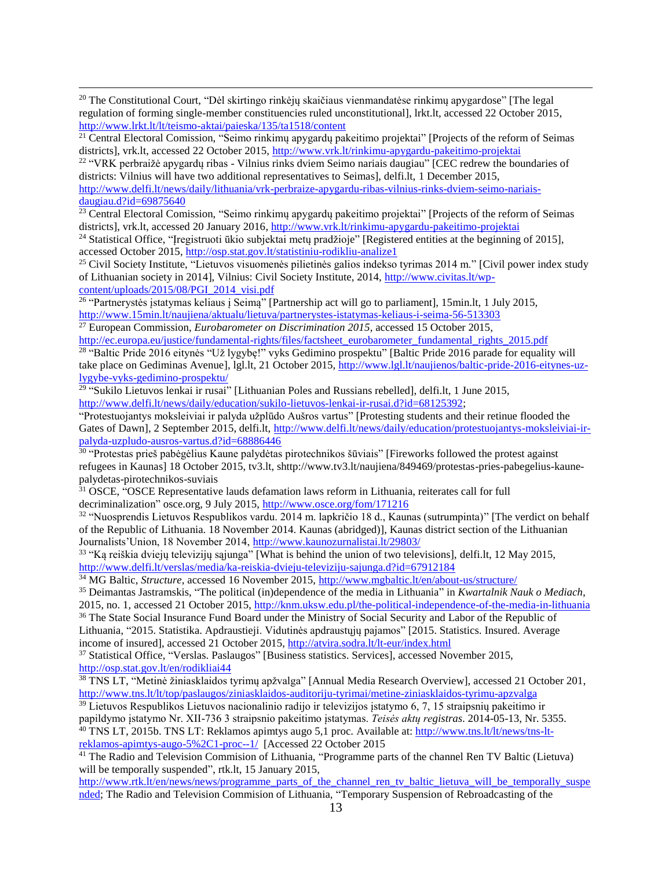<sup>20</sup> The Constitutional Court, "Dėl skirtingo rinkėjų skaičiaus vienmandatėse rinkimų apygardose" [The legal regulation of forming single-member constituencies ruled unconstitutional], lrkt.lt, accessed 22 October 2015, <http://www.lrkt.lt/lt/teismo-aktai/paieska/135/ta1518/content>

 $\overline{a}$ 

<sup>22</sup> "VRK perbraižė apygardų ribas - Vilnius rinks dviem Seimo nariais daugiau" [CEC redrew the boundaries of districts: Vilnius will have two additional representatives to Seimas], delfi.lt, 1 December 2015,

[http://www.delfi.lt/news/daily/lithuania/vrk-perbraize-apygardu-ribas-vilnius-rinks-dviem-seimo-nariais](http://www.delfi.lt/news/daily/lithuania/vrk-perbraize-apygardu-ribas-vilnius-rinks-dviem-seimo-nariais-daugiau.d?id=69875640)[daugiau.d?id=69875640](http://www.delfi.lt/news/daily/lithuania/vrk-perbraize-apygardu-ribas-vilnius-rinks-dviem-seimo-nariais-daugiau.d?id=69875640)

<sup>23</sup> Central Electoral Comission, "Seimo rinkimų apygardų pakeitimo projektai" [Projects of the reform of Seimas districts], vrk.lt, accessed 20 January 2016,<http://www.vrk.lt/rinkimu-apygardu-pakeitimo-projektai>

<sup>24</sup> Statistical Office, "Iregistruoti ūkio subjektai metų pradžioje" [Registered entities at the beginning of 2015], accessed October 2015,<http://osp.stat.gov.lt/statistiniu-rodikliu-analize1>

<sup>25</sup> Civil Society Institute, "Lietuvos visuomenės pilietinės galios indekso tyrimas 2014 m." [Civil power index study of Lithuanian society in 2014], Vilnius: Civil Society Institute, 2014, [http://www.civitas.lt/wp](http://www.civitas.lt/wp-content/uploads/2015/08/PGI_2014_visi.pdf)[content/uploads/2015/08/PGI\\_2014\\_visi.pdf](http://www.civitas.lt/wp-content/uploads/2015/08/PGI_2014_visi.pdf)

<sup>26</sup> "Partnerystės įstatymas keliaus į Seimą" [Partnership act will go to parliament], 15min.lt, 1 July 2015, <http://www.15min.lt/naujiena/aktualu/lietuva/partnerystes-istatymas-keliaus-i-seima-56-513303> <sup>27</sup> European Commission, *Eurobarometer on Discrimination 2015*, accessed 15 October 2015,

[http://ec.europa.eu/justice/fundamental-rights/files/factsheet\\_eurobarometer\\_fundamental\\_rights\\_2015.pdf](http://ec.europa.eu/justice/fundamental-rights/files/factsheet_eurobarometer_fundamental_rights_2015.pdf) <sup>28</sup> "Baltic Pride 2016 eitynės "Už lygybę!" vyks Gedimino prospektu" [Baltic Pride 2016 parade for equality will take place on Gediminas Avenue], lgl.lt, 21 October 2015, [http://www.lgl.lt/naujienos/baltic-pride-2016-eitynes-uz-](http://www.lgl.lt/naujienos/baltic-pride-2016-eitynes-uz-lygybe-vyks-gedimino-prospektu/)

[lygybe-vyks-gedimino-prospektu/](http://www.lgl.lt/naujienos/baltic-pride-2016-eitynes-uz-lygybe-vyks-gedimino-prospektu/)<br><sup>29</sup> "Sukilo Lietuvos lenkai ir rusai" [Lithuanian Poles and Russians rebelled], delfi.lt, 1 June 2015, [http://www.delfi.lt/news/daily/education/sukilo-lietuvos-lenkai-ir-rusai.d?id=68125392;](http://www.delfi.lt/news/daily/education/sukilo-lietuvos-lenkai-ir-rusai.d?id=68125392)

"Protestuojantys moksleiviai ir palyda užplūdo Aušros vartus" [Protesting students and their retinue flooded the Gates of Dawn], 2 September 2015, delfi.lt, [http://www.delfi.lt/news/daily/education/protestuojantys-moksleiviai-ir](http://www.delfi.lt/news/daily/education/protestuojantys-moksleiviai-ir-palyda-uzpludo-ausros-vartus.d?id=68886446)[palyda-uzpludo-ausros-vartus.d?id=68886446](http://www.delfi.lt/news/daily/education/protestuojantys-moksleiviai-ir-palyda-uzpludo-ausros-vartus.d?id=68886446)

<sup>30</sup> "Protestas prieš pabėgėlius Kaune palydėtas pirotechnikos šūviais" [Fireworks followed the protest against refugees in Kaunas] 18 October 2015, tv3.lt, shttp://www.tv3.lt/naujiena/849469/protestas-pries-pabegelius-kaunepalydetas-pirotechnikos-suviais

<sup>31</sup> OSCE, "OSCE Representative lauds defamation laws reform in Lithuania, reiterates call for full decriminalization" osce.org, 9 July 2015,<http://www.osce.org/fom/171216>

32 "Nuosprendis Lietuvos Respublikos vardu. 2014 m. lapkričio 18 d., Kaunas (sutrumpinta)" [The verdict on behalf of the Republic of Lithuania. 18 November 2014. Kaunas (abridged)], Kaunas district section of the Lithuanian Journalists'Union, 18 November 2014,<http://www.kaunozurnalistai.lt/29803/>

<sup>33</sup> "Ką reiškia dviejų televizijų sąjunga" [What is behind the union of two televisions], delfi.lt, 12 May 2015, <http://www.delfi.lt/verslas/media/ka-reiskia-dvieju-televiziju-sajunga.d?id=67912184>

<sup>34</sup> MG Baltic, *Structure*, accessed 16 November 2015,<http://www.mgbaltic.lt/en/about-us/structure/>

<sup>35</sup> Deimantas Jastramskis, "The political (in)dependence of the media in Lithuania" in *Kwartalnik Nauk o Mediach*, 2015, no. 1, accessed 21 October 2015, <http://knm.uksw.edu.pl/the-political-independence-of-the-media-in-lithuania> <sup>36</sup> The State Social Insurance Fund Board under the Ministry of Social Security and Labor of the Republic of

Lithuania, "2015. Statistika. Apdraustieji. Vidutinės apdraustųjų pajamos" [2015. Statistics. Insured. Average income of insured], accessed 21 October 2015,<http://atvira.sodra.lt/lt-eur/index.html>

<sup>37</sup> Statistical Office, "Verslas. Paslaugos" [Business statistics. Services], accessed November 2015, <http://osp.stat.gov.lt/en/rodikliai44>

<sup>38</sup> TNS LT, "Metinė žiniasklaidos tyrimų apžvalga" [Annual Media Research Overview], accessed 21 October 201, <http://www.tns.lt/lt/top/paslaugos/ziniasklaidos-auditoriju-tyrimai/metine-ziniasklaidos-tyrimu-apzvalga>

<sup>39</sup> Lietuvos Respublikos Lietuvos nacionalinio radijo ir televizijos įstatymo 6, 7, 15 straipsnių pakeitimo ir papildymo įstatymo Nr. XII-736 3 straipsnio pakeitimo įstatymas. *Teisės aktų registras*. 2014-05-13, Nr. 5355.

<sup>40</sup> TNS LT, 2015b. TNS LT: Reklamos apimtys augo 5,1 proc. Available at[: http://www.tns.lt/lt/news/tns-lt](http://www.tns.lt/lt/news/tns-lt-reklamos-apimtys-augo-5%2C1-proc--1/)[reklamos-apimtys-augo-5%2C1-proc--1/](http://www.tns.lt/lt/news/tns-lt-reklamos-apimtys-augo-5%2C1-proc--1/) [Accessed 22 October 2015

<sup>41</sup> The Radio and Television Commision of Lithuania, "Programme parts of the channel Ren TV Baltic (Lietuva) will be temporally suspended", rtk.lt, 15 January 2015,

[http://www.rtk.lt/en/news/news/programme\\_parts\\_of\\_the\\_channel\\_ren\\_tv\\_baltic\\_lietuva\\_will\\_be\\_temporally\\_suspe](http://www.rtk.lt/en/news/news/programme_parts_of_the_channel_ren_tv_baltic_lietuva_will_be_temporally_suspended) [nded;](http://www.rtk.lt/en/news/news/programme_parts_of_the_channel_ren_tv_baltic_lietuva_will_be_temporally_suspended) The Radio and Television Commision of Lithuania, "Temporary Suspension of Rebroadcasting of the

<sup>&</sup>lt;sup>21</sup> Central Electoral Comission, "Seimo rinkimų apygardų pakeitimo projektai" [Projects of the reform of Seimas districts], vrk.lt, accessed 22 October 2015,<http://www.vrk.lt/rinkimu-apygardu-pakeitimo-projektai>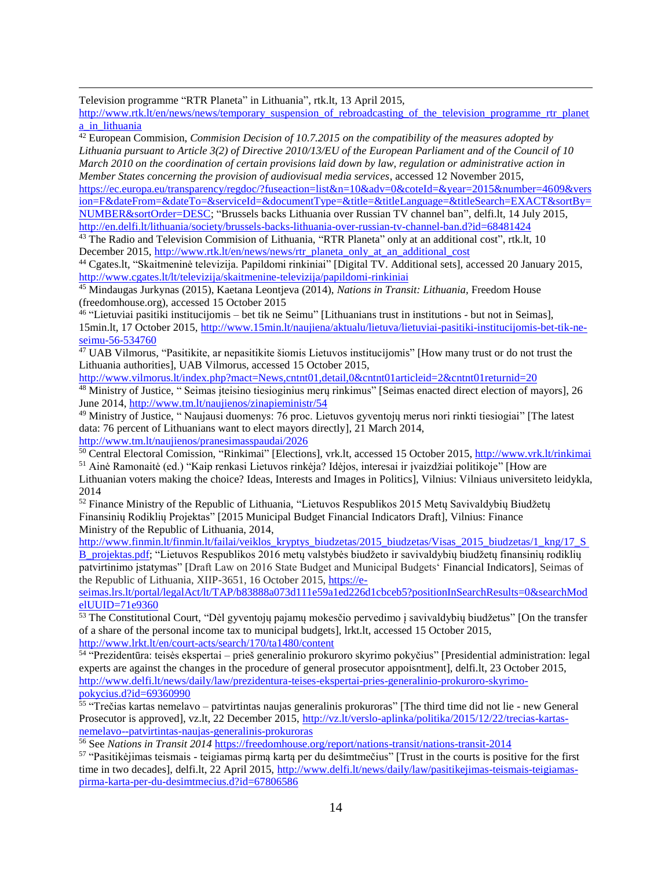$\overline{a}$ Television programme "RTR Planeta" in Lithuania", rtk.lt, 13 April 2015,

[http://www.rtk.lt/en/news/news/temporary\\_suspension\\_of\\_rebroadcasting\\_of\\_the\\_television\\_programme\\_rtr\\_planet](http://www.rtk.lt/en/news/news/temporary_suspension_of_rebroadcasting_of_the_television_programme_rtr_planeta_in_lithuania) [a\\_in\\_lithuania](http://www.rtk.lt/en/news/news/temporary_suspension_of_rebroadcasting_of_the_television_programme_rtr_planeta_in_lithuania)

<sup>42</sup> European Commision, *Commision Decision of 10.7.2015 on the compatibility of the measures adopted by Lithuania pursuant to Article 3(2) of Directive 2010/13/EU of the European Parliament and of the Council of 10 March 2010 on the coordination of certain provisions laid down by law, regulation or administrative action in Member States concerning the provision of audiovisual media services*, accessed 12 November 2015,

[https://ec.europa.eu/transparency/regdoc/?fuseaction=list&n=10&adv=0&coteId=&year=2015&number=4609&vers](https://ec.europa.eu/transparency/regdoc/?fuseaction=list&n=10&adv=0&coteId=&year=2015&number=4609&version=F&dateFrom=&dateTo=&serviceId=&documentType=&title=&titleLanguage=&titleSearch=EXACT&sortBy=NUMBER&sortOrder=DESC) [ion=F&dateFrom=&dateTo=&serviceId=&documentType=&title=&titleLanguage=&titleSearch=EXACT&sortBy=](https://ec.europa.eu/transparency/regdoc/?fuseaction=list&n=10&adv=0&coteId=&year=2015&number=4609&version=F&dateFrom=&dateTo=&serviceId=&documentType=&title=&titleLanguage=&titleSearch=EXACT&sortBy=NUMBER&sortOrder=DESC) [NUMBER&sortOrder=DESC;](https://ec.europa.eu/transparency/regdoc/?fuseaction=list&n=10&adv=0&coteId=&year=2015&number=4609&version=F&dateFrom=&dateTo=&serviceId=&documentType=&title=&titleLanguage=&titleSearch=EXACT&sortBy=NUMBER&sortOrder=DESC) "Brussels backs Lithuania over Russian TV channel ban", delfi.lt, 14 July 2015, <http://en.delfi.lt/lithuania/society/brussels-backs-lithuania-over-russian-tv-channel-ban.d?id=68481424>

<sup>43</sup> The Radio and Television Commision of Lithuania, "RTR Planeta" only at an additional cost", rtk.lt, 10 December 2015[, http://www.rtk.lt/en/news/news/rtr\\_planeta\\_only\\_at\\_an\\_additional\\_cost](http://www.rtk.lt/en/news/news/rtr_planeta_only_at_an_additional_cost)

<sup>44</sup> Cgates.lt, "Skaitmeninė televizija. Papildomi rinkiniai" [Digital TV. Additional sets], accessed 20 January 2015, <http://www.cgates.lt/lt/televizija/skaitmenine-televizija/papildomi-rinkiniai>

<sup>45</sup> Mindaugas Jurkynas (2015), Kaetana Leontjeva (2014), *Nations in Transit: Lithuania,* Freedom House (freedomhouse.org), accessed 15 October 2015

46 "Lietuviai pasitiki institucijomis – bet tik ne Seimu" [Lithuanians trust in institutions - but not in Seimas], 15min.lt, 17 October 2015, [http://www.15min.lt/naujiena/aktualu/lietuva/lietuviai-pasitiki-institucijomis-bet-tik-ne](http://www.15min.lt/naujiena/aktualu/lietuva/lietuviai-pasitiki-institucijomis-bet-tik-ne-seimu-56-534760)[seimu-56-534760](http://www.15min.lt/naujiena/aktualu/lietuva/lietuviai-pasitiki-institucijomis-bet-tik-ne-seimu-56-534760)

<sup>47</sup> UAB Vilmorus, "Pasitikite, ar nepasitikite šiomis Lietuvos institucijomis" [How many trust or do not trust the Lithuania authorities], UAB Vilmorus, accessed 15 October 2015,

<http://www.vilmorus.lt/index.php?mact=News,cntnt01,detail,0&cntnt01articleid=2&cntnt01returnid=20> <sup>48</sup> Ministry of Justice, " Seimas įteisino tiesioginius merų rinkimus" [Seimas enacted direct election of mayors], 26 June 2014,<http://www.tm.lt/naujienos/zinapieministr/54>

<sup>49</sup> Ministry of Justice, " Naujausi duomenys: 76 proc. Lietuvos gyventojų merus nori rinkti tiesiogiai" [The latest data: 76 percent of Lithuanians want to elect mayors directly], 21 March 2014, <http://www.tm.lt/naujienos/pranesimasspaudai/2026>

<sup>50</sup> Central Electoral Comission, "Rinkimai" [Elections], vrk.lt, accessed 15 October 2015,<http://www.vrk.lt/rinkimai> <sup>51</sup> Ainė Ramonaitė (ed.) "Kaip renkasi Lietuvos rinkėja? Idėjos, interesai ir įvaizdžiai politikoje" [How are

Lithuanian voters making the choice? Ideas, Interests and Images in Politics], Vilnius: Vilniaus universiteto leidykla, 2014

<sup>52</sup> Finance Ministry of the Republic of Lithuania, "Lietuvos Respublikos 2015 Metų Savivaldybių Biudžetų Finansinių Rodiklių Projektas" [2015 Municipal Budget Financial Indicators Draft], Vilnius: Finance Ministry of the Republic of Lithuania, 2014,

[http://www.finmin.lt/finmin.lt/failai/veiklos\\_kryptys\\_biudzetas/2015\\_biudzetas/Visas\\_2015\\_biudzetas/1\\_kng/17\\_S](http://www.finmin.lt/finmin.lt/failai/veiklos_kryptys_biudzetas/2015_biudzetas/Visas_2015_biudzetas/1_kng/17_S%20B_projektas.pdf) [B\\_projektas.pdf;](http://www.finmin.lt/finmin.lt/failai/veiklos_kryptys_biudzetas/2015_biudzetas/Visas_2015_biudzetas/1_kng/17_S%20B_projektas.pdf) "Lietuvos Respublikos 2016 metų valstybės biudžeto ir savivaldybių biudžetų finansinių rodiklių patvirtinimo įstatymas" [Draft Law on 2016 State Budget and Municipal Budgets' Financial Indicators], Seimas of the Republic of Lithuania, XIIP-3651, 16 October 2015, [https://e-](https://e-seimas.lrs.lt/portal/legalAct/lt/TAP/b83888a073d111e59a1ed226d1cbceb5?positionInSearchResults=0&searchModelUUID=71e9360)

[seimas.lrs.lt/portal/legalAct/lt/TAP/b83888a073d111e59a1ed226d1cbceb5?positionInSearchResults=0&searchMod](https://e-seimas.lrs.lt/portal/legalAct/lt/TAP/b83888a073d111e59a1ed226d1cbceb5?positionInSearchResults=0&searchModelUUID=71e9360) [elUUID=71e9360](https://e-seimas.lrs.lt/portal/legalAct/lt/TAP/b83888a073d111e59a1ed226d1cbceb5?positionInSearchResults=0&searchModelUUID=71e9360)

<sup>53</sup> The Constitutional Court, "Dėl gyventojų pajamų mokesčio pervedimo į savivaldybių biudžetus" [On the transfer of a share of the personal income tax to municipal budgets], lrkt.lt, accessed 15 October 2015, <http://www.lrkt.lt/en/court-acts/search/170/ta1480/content>

54 "Prezidentūra: teisės ekspertai – prieš generalinio prokuroro skyrimo pokyčius" [Presidential administration: legal experts are against the changes in the procedure of general prosecutor appoisntment], delfi.lt, 23 October 2015, [http://www.delfi.lt/news/daily/law/prezidentura-teises-ekspertai-pries-generalinio-prokuroro-skyrimo](http://www.delfi.lt/news/daily/law/prezidentura-teises-ekspertai-pries-generalinio-prokuroro-skyrimo-pokycius.d?id=69360990)[pokycius.d?id=69360990](http://www.delfi.lt/news/daily/law/prezidentura-teises-ekspertai-pries-generalinio-prokuroro-skyrimo-pokycius.d?id=69360990)

55 "Trečias kartas nemelavo – patvirtintas naujas generalinis prokuroras" [The third time did not lie - new General Prosecutor is approved], vz.lt, 22 December 2015, [http://vz.lt/verslo-aplinka/politika/2015/12/22/trecias-kartas](http://vz.lt/verslo-aplinka/politika/2015/12/22/trecias-kartas-nemelavo--patvirtintas-naujas-generalinis-prokuroras)[nemelavo--patvirtintas-naujas-generalinis-prokuroras](http://vz.lt/verslo-aplinka/politika/2015/12/22/trecias-kartas-nemelavo--patvirtintas-naujas-generalinis-prokuroras)

<sup>56</sup> See *Nations in Transit 2014* <https://freedomhouse.org/report/nations-transit/nations-transit-2014>

 $57$  "Pasitikėjimas teismais - teigiamas pirmą kartą per du dešimtmečius" [Trust in the courts is positive for the first time in two decades], delfi.lt, 22 April 2015, [http://www.delfi.lt/news/daily/law/pasitikejimas-teismais-teigiamas](http://www.delfi.lt/news/daily/law/pasitikejimas-teismais-teigiamas-pirma-karta-per-du-desimtmecius.d?id=67806586)[pirma-karta-per-du-desimtmecius.d?id=67806586](http://www.delfi.lt/news/daily/law/pasitikejimas-teismais-teigiamas-pirma-karta-per-du-desimtmecius.d?id=67806586)